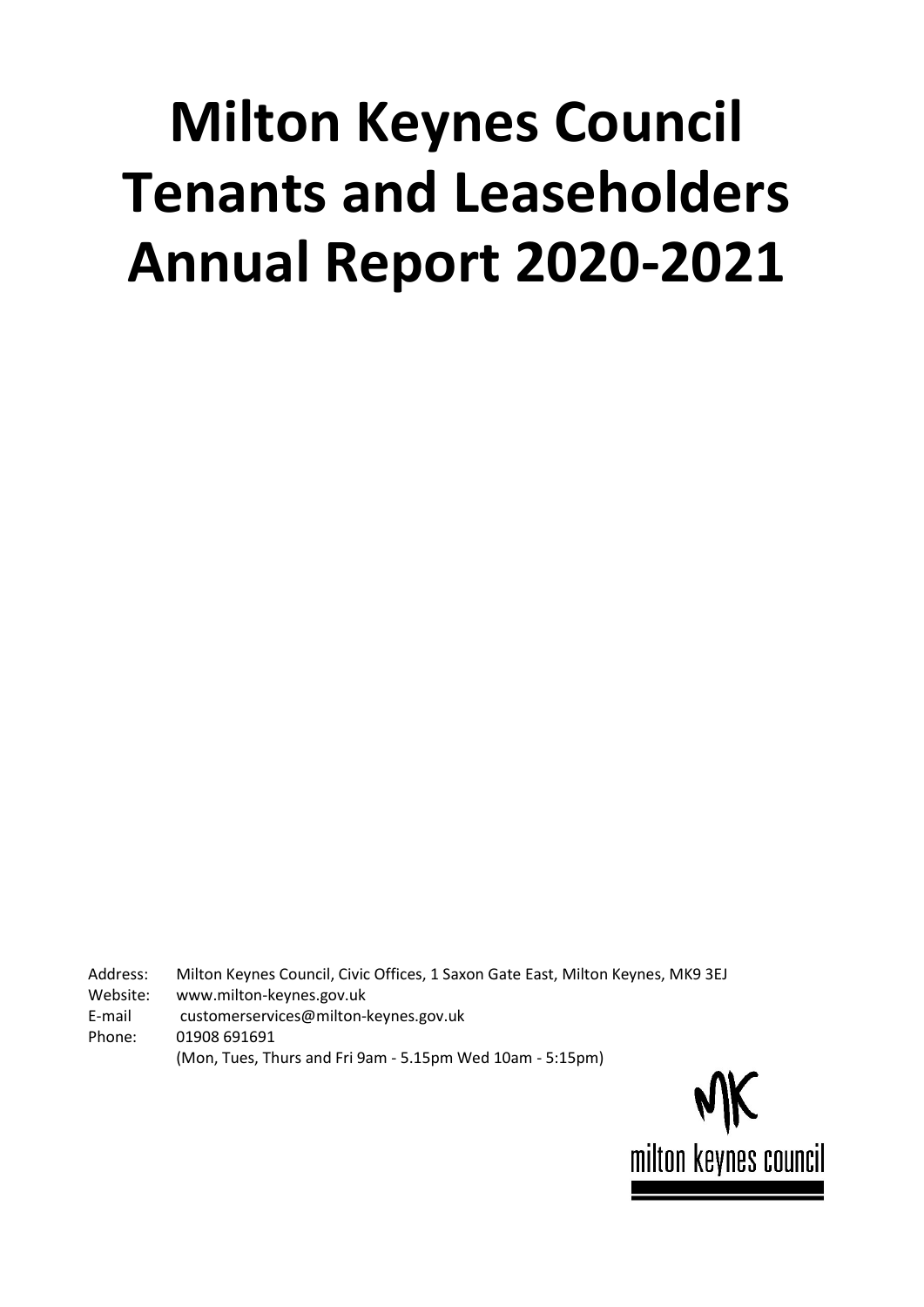# **Milton Keynes Council Tenants and Leaseholders Annual Report 2020-2021**

Address: Milton Keynes Council, Civic Offices, 1 Saxon Gate East, Milton Keynes, MK9 3EJ

Website: www.milton-keynes.gov.uk

E-mail customerservices@milton-keynes.gov.uk

Phone: 01908 691691

(Mon, Tues, Thurs and Fri 9am - 5.15pm Wed 10am - 5:15pm)

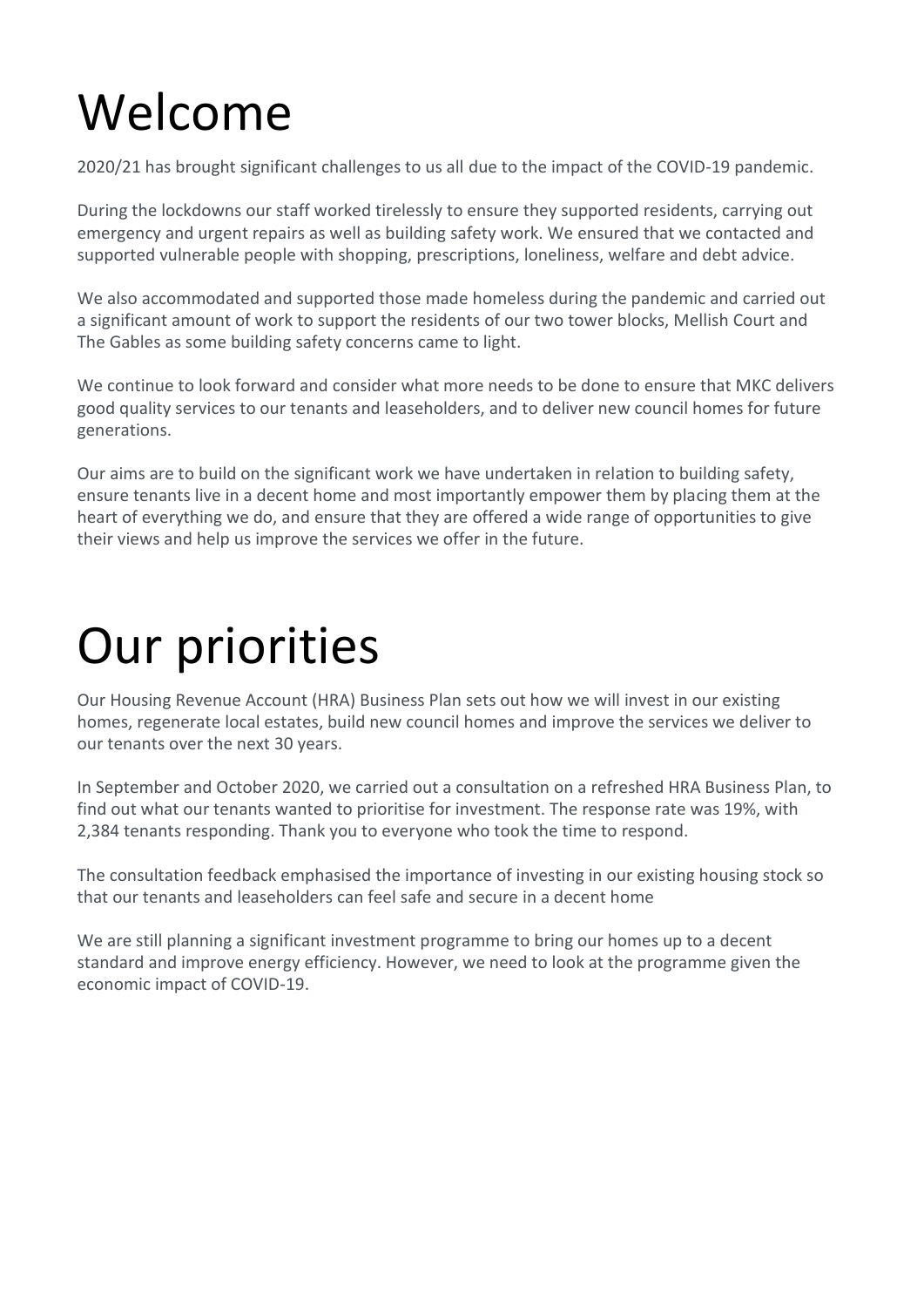# Welcome

2020/21 has brought significant challenges to us all due to the impact of the COVID-19 pandemic.

During the lockdowns our staff worked tirelessly to ensure they supported residents, carrying out emergency and urgent repairs as well as building safety work. We ensured that we contacted and supported vulnerable people with shopping, prescriptions, loneliness, welfare and debt advice.

We also accommodated and supported those made homeless during the pandemic and carried out a significant amount of work to support the residents of our two tower blocks, Mellish Court and The Gables as some building safety concerns came to light.

We continue to look forward and consider what more needs to be done to ensure that MKC delivers good quality services to our tenants and leaseholders, and to deliver new council homes for future generations.

Our aims are to build on the significant work we have undertaken in relation to building safety, ensure tenants live in a decent home and most importantly empower them by placing them at the heart of everything we do, and ensure that they are offered a wide range of opportunities to give their views and help us improve the services we offer in the future.

## Our priorities

Our Housing Revenue Account (HRA) Business Plan sets out how we will invest in our existing homes, regenerate local estates, build new council homes and improve the services we deliver to our tenants over the next 30 years.

In September and October 2020, we carried out a consultation on a refreshed HRA Business Plan, to find out what our tenants wanted to prioritise for investment. The response rate was 19%, with 2,384 tenants responding. Thank you to everyone who took the time to respond.

The consultation feedback emphasised the importance of investing in our existing housing stock so that our tenants and leaseholders can feel safe and secure in a decent home

We are still planning a significant investment programme to bring our homes up to a decent standard and improve energy efficiency. However, we need to look at the programme given the economic impact of COVID-19.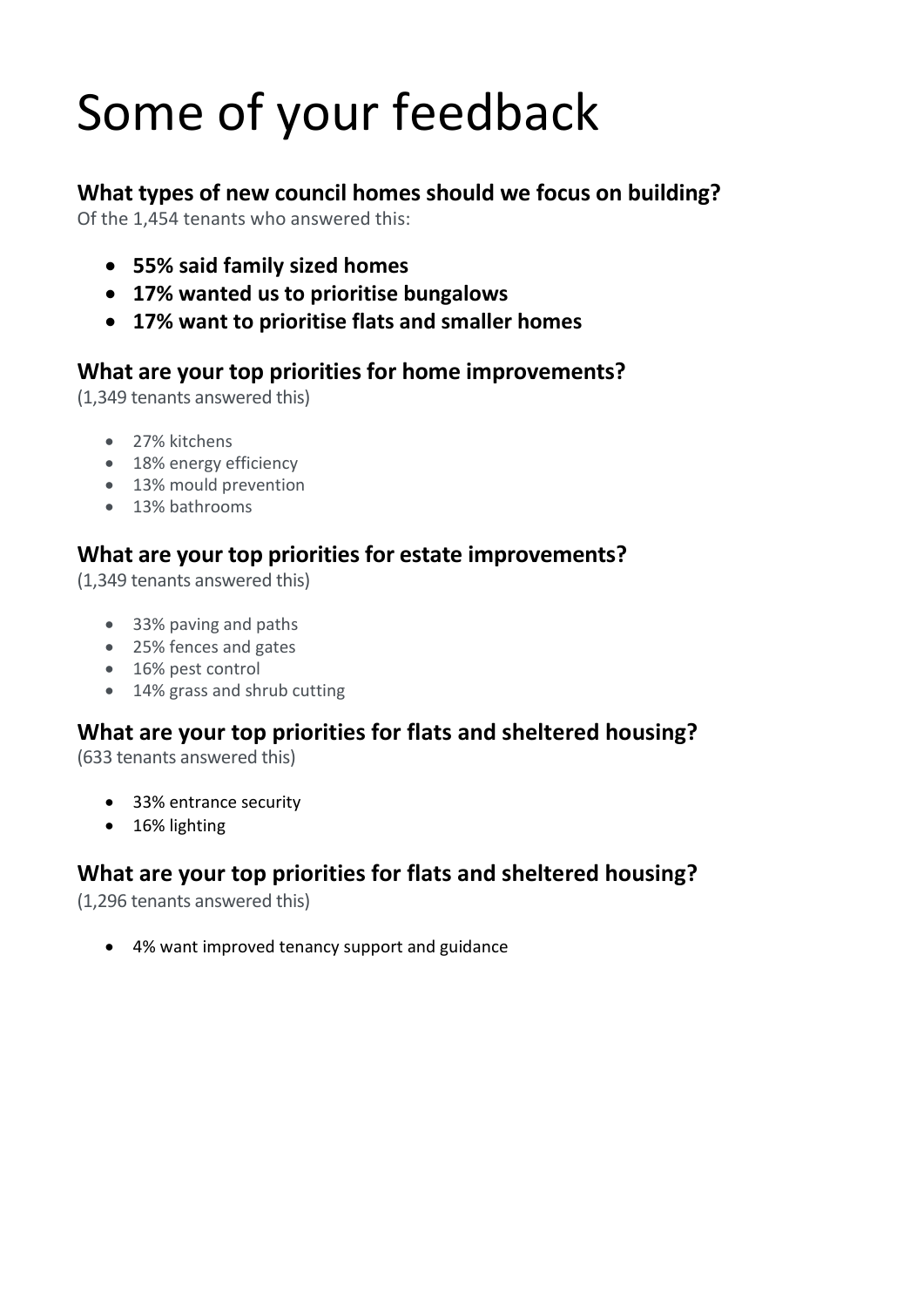# Some of your feedback

## **What types of new council homes should we focus on building?**

Of the 1,454 tenants who answered this:

- **55% said family sized homes**
- **17% wanted us to prioritise bungalows**
- **17% want to prioritise flats and smaller homes**

#### **What are your top priorities for home improvements?**

(1,349 tenants answered this)

- 27% kitchens
- 18% energy efficiency
- 13% mould prevention
- 13% bathrooms

#### **What are your top priorities for estate improvements?**

(1,349 tenants answered this)

- 33% paving and paths
- 25% fences and gates
- 16% pest control
- 14% grass and shrub cutting

#### **What are your top priorities for flats and sheltered housing?**

(633 tenants answered this)

- 33% entrance security
- 16% lighting

### **What are your top priorities for flats and sheltered housing?**

(1,296 tenants answered this)

• 4% want improved tenancy support and guidance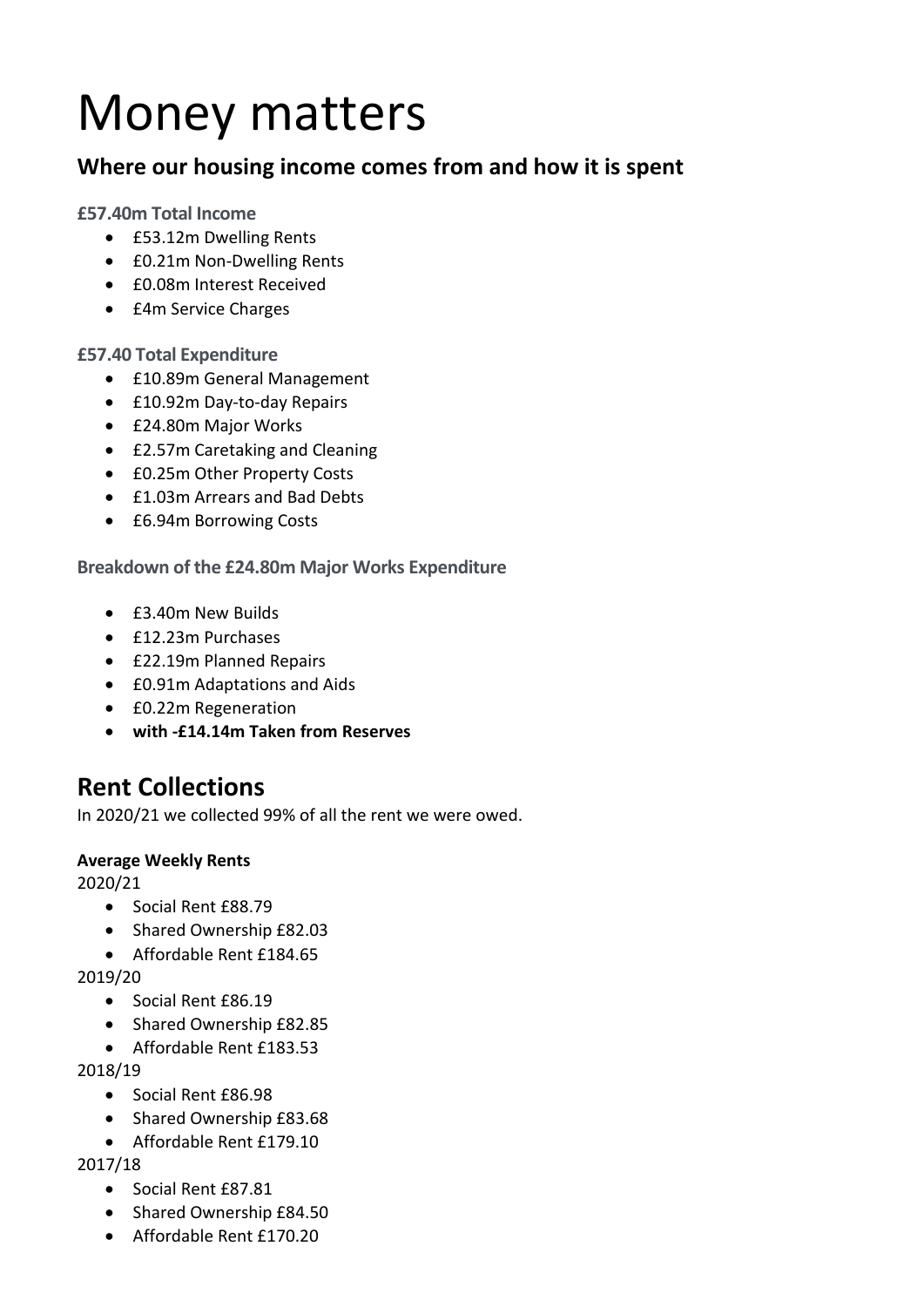## Money matters

#### **Where our housing income comes from and how it is spent**

#### **£57.40m Total Income**

- £53.12m Dwelling Rents
- £0.21m Non-Dwelling Rents
- £0.08m Interest Received
- £4m Service Charges

#### **£57.40 Total Expenditure**

- £10.89m General Management
- £10.92m Day-to-day Repairs
- £24.80m Major Works
- £2.57m Caretaking and Cleaning
- £0.25m Other Property Costs
- £1.03m Arrears and Bad Debts
- £6.94m Borrowing Costs

#### **Breakdown of the £24.80m Major Works Expenditure**

- £3.40m New Builds
- £12.23m Purchases
- £22.19m Planned Repairs
- £0.91m Adaptations and Aids
- £0.22m Regeneration
- **with -£14.14m Taken from Reserves**

## **Rent Collections**

In 2020/21 we collected 99% of all the rent we were owed.

#### **Average Weekly Rents**

2020/21

- Social Rent £88.79
- Shared Ownership £82.03
- Affordable Rent £184.65

2019/20

- Social Rent £86.19
- Shared Ownership £82.85
- Affordable Rent £183.53

2018/19

- Social Rent £86.98
- Shared Ownership £83.68
- Affordable Rent £179.10

#### 2017/18

- Social Rent £87.81
- Shared Ownership £84.50
- Affordable Rent £170.20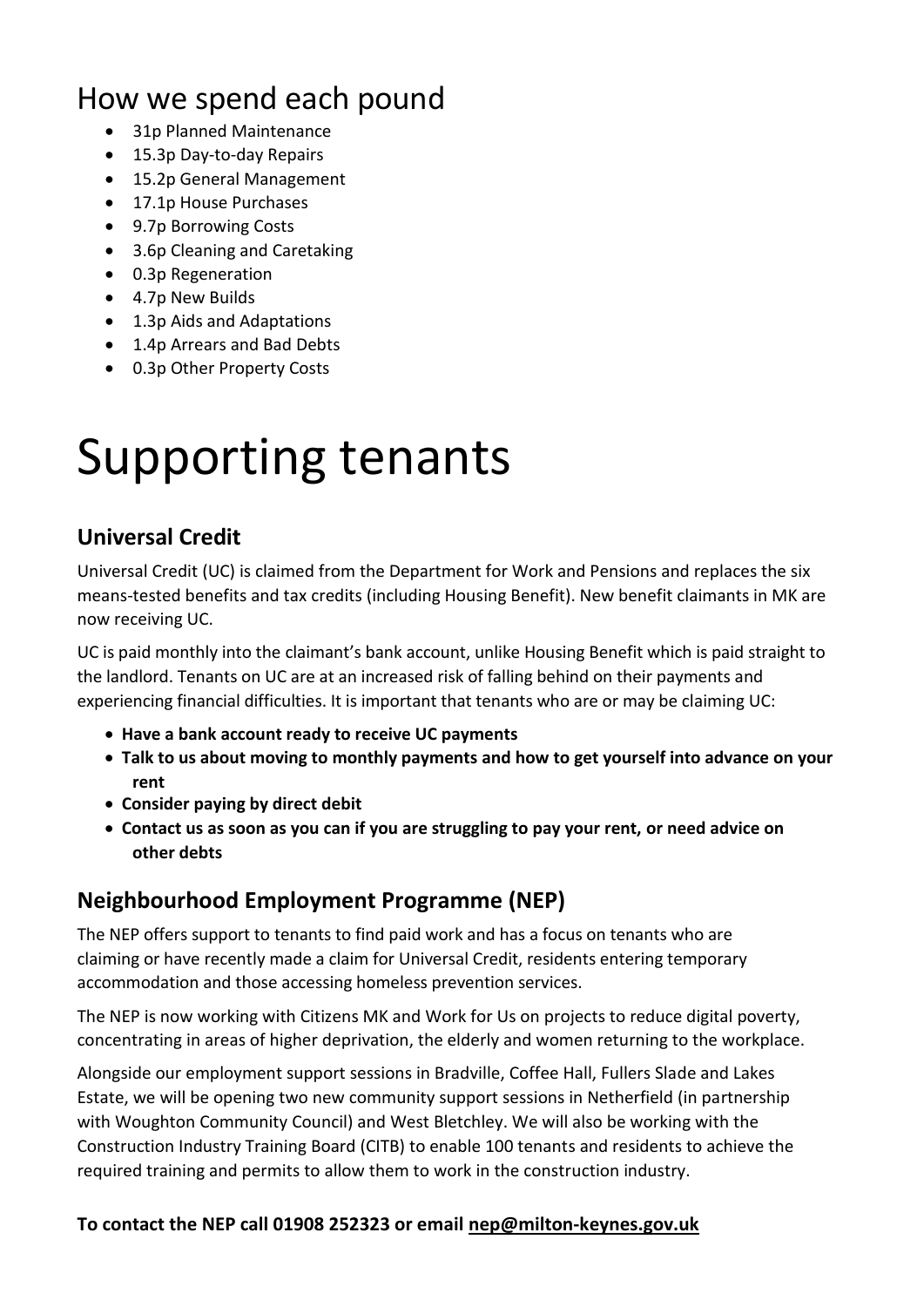## How we spend each pound

- 31p Planned Maintenance
- 15.3p Day-to-day Repairs
- 15.2p General Management
- 17.1p House Purchases
- 9.7p Borrowing Costs
- 3.6p Cleaning and Caretaking
- 0.3p Regeneration
- 4.7p New Builds
- 1.3p Aids and Adaptations
- 1.4p Arrears and Bad Debts
- 0.3p Other Property Costs

## Supporting tenants

#### **Universal Credit**

Universal Credit (UC) is claimed from the Department for Work and Pensions and replaces the six means-tested benefits and tax credits (including Housing Benefit). New benefit claimants in MK are now receiving UC.

UC is paid monthly into the claimant's bank account, unlike Housing Benefit which is paid straight to the landlord. Tenants on UC are at an increased risk of falling behind on their payments and experiencing financial difficulties. It is important that tenants who are or may be claiming UC:

- **Have a bank account ready to receive UC payments**
- **Talk to us about moving to monthly payments and how to get yourself into advance on your rent**
- **Consider paying by direct debit**
- **Contact us as soon as you can if you are struggling to pay your rent, or need advice on other debts**

#### **Neighbourhood Employment Programme (NEP)**

The NEP offers support to tenants to find paid work and has a focus on tenants who are claiming or have recently made a claim for Universal Credit, residents entering temporary accommodation and those accessing homeless prevention services.

The NEP is now working with Citizens MK and Work for Us on projects to reduce digital poverty, concentrating in areas of higher deprivation, the elderly and women returning to the workplace.

Alongside our employment support sessions in Bradville, Coffee Hall, Fullers Slade and Lakes Estate, we will be opening two new community support sessions in Netherfield (in partnership with Woughton Community Council) and West Bletchley. We will also be working with the Construction Industry Training Board (CITB) to enable 100 tenants and residents to achieve the required training and permits to allow them to work in the construction industry.

#### **To contact the NEP call 01908 252323 or email [nep@milton-keynes.gov.uk](mailto:nep@milton-keynes.gov.uk)**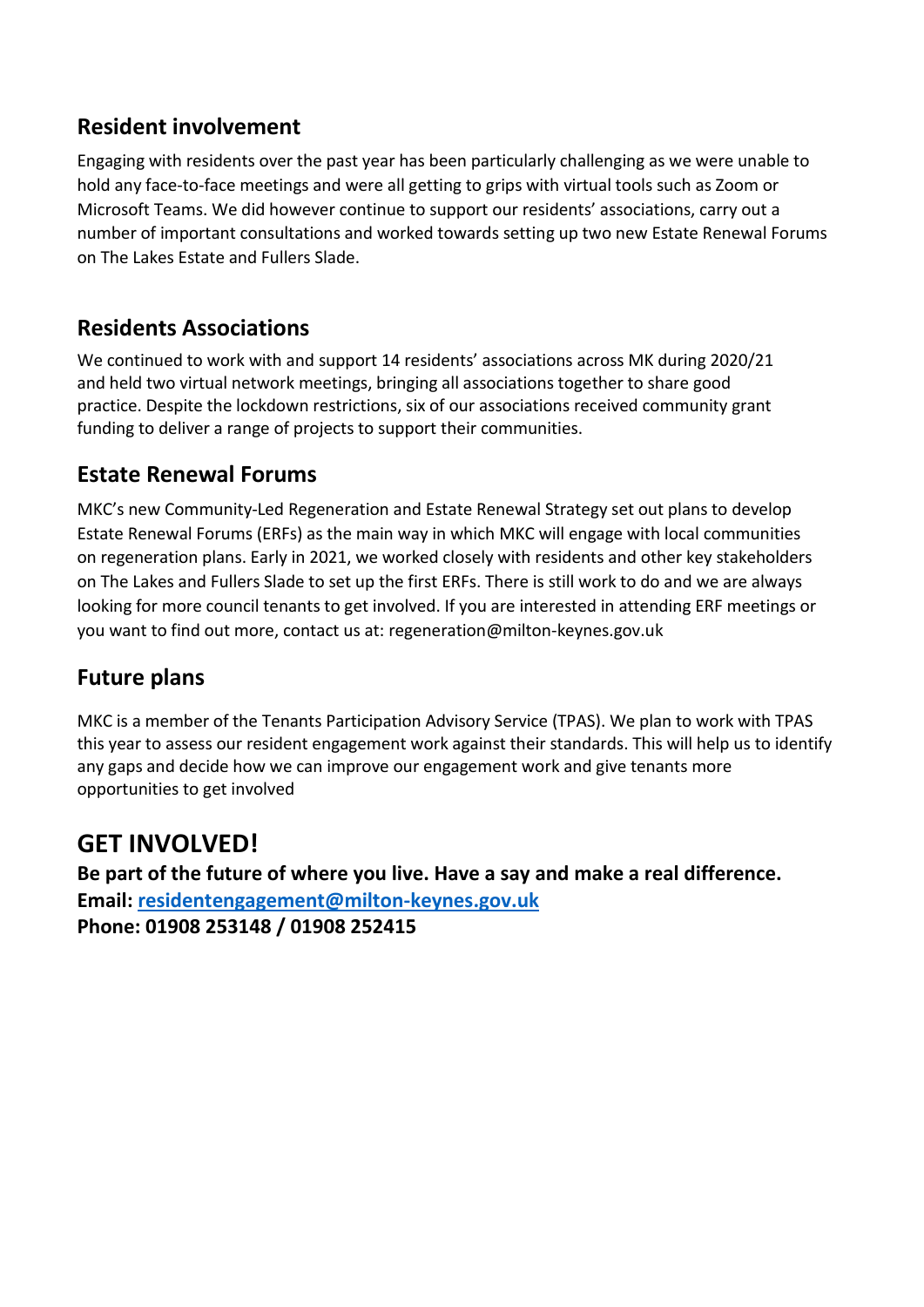#### **Resident involvement**

Engaging with residents over the past year has been particularly challenging as we were unable to hold any face-to-face meetings and were all getting to grips with virtual tools such as Zoom or Microsoft Teams. We did however continue to support our residents' associations, carry out a number of important consultations and worked towards setting up two new Estate Renewal Forums on The Lakes Estate and Fullers Slade.

#### **Residents Associations**

We continued to work with and support 14 residents' associations across MK during 2020/21 and held two virtual network meetings, bringing all associations together to share good practice. Despite the lockdown restrictions, six of our associations received community grant funding to deliver a range of projects to support their communities.

#### **Estate Renewal Forums**

MKC's new Community-Led Regeneration and Estate Renewal Strategy set out plans to develop Estate Renewal Forums (ERFs) as the main way in which MKC will engage with local communities on regeneration plans. Early in 2021, we worked closely with residents and other key stakeholders on The Lakes and Fullers Slade to set up the first ERFs. There is still work to do and we are always looking for more council tenants to get involved. If you are interested in attending ERF meetings or you want to find out more, contact us at: [regeneration@milton-keynes.gov.uk](mailto:regeneration@milton-keynes.gov.uk)

#### **Future plans**

MKC is a member of the Tenants Participation Advisory Service (TPAS). We plan to work with TPAS this year to assess our resident engagement work against their standards. This will help us to identify any gaps and decide how we can improve our engagement work and give tenants more opportunities to get involved

## **GET INVOLVED!**

**Be part of the future of where you live. Have a say and make a real difference. Email: [residentengagement@milton-keynes.gov.uk](mailto:residentengagement@milton-keynes.gov.uk) Phone: 01908 253148 / 01908 252415**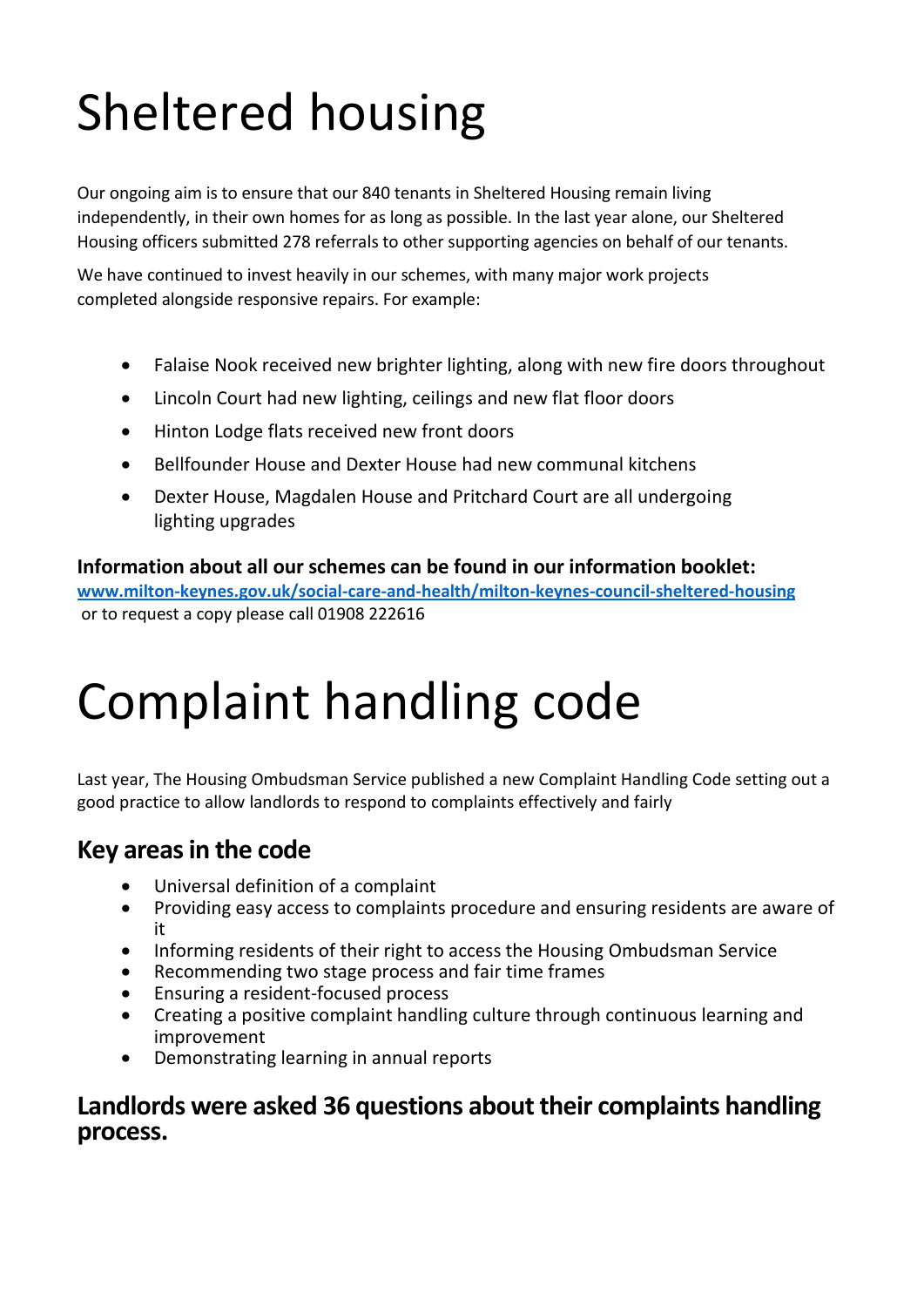# Sheltered housing

Our ongoing aim is to ensure that our 840 tenants in Sheltered Housing remain living independently, in their own homes for as long as possible. In the last year alone, our Sheltered Housing officers submitted 278 referrals to other supporting agencies on behalf of our tenants.

We have continued to invest heavily in our schemes, with many major work projects completed alongside responsive repairs. For example:

- Falaise Nook received new brighter lighting, along with new fire doors throughout
- Lincoln Court had new lighting, ceilings and new flat floor doors
- Hinton Lodge flats received new front doors
- Bellfounder House and Dexter House had new communal kitchens
- Dexter House, Magdalen House and Pritchard Court are all undergoing lighting upgrades

**Information about all our schemes can be found in our information booklet: [www.milton-keynes.gov.uk/social-care-and-health/milton-keynes-council-sheltered-housing](http://www.milton-keynes.gov.uk/social-care-and-health/milton-keynes-council-sheltered-housing)** or to request a copy please call 01908 222616

## Complaint handling code

Last year, The Housing Ombudsman Service published a new Complaint Handling Code setting out a good practice to allow landlords to respond to complaints effectively and fairly

#### **Key areas in the code**

- Universal definition of a complaint
- Providing easy access to complaints procedure and ensuring residents are aware of it
- Informing residents of their right to access the Housing Ombudsman Service
- Recommending two stage process and fair time frames
- Ensuring a resident-focused process
- Creating a positive complaint handling culture through continuous learning and improvement
- Demonstrating learning in annual reports

#### **Landlords were asked 36 questions about their complaints handling process.**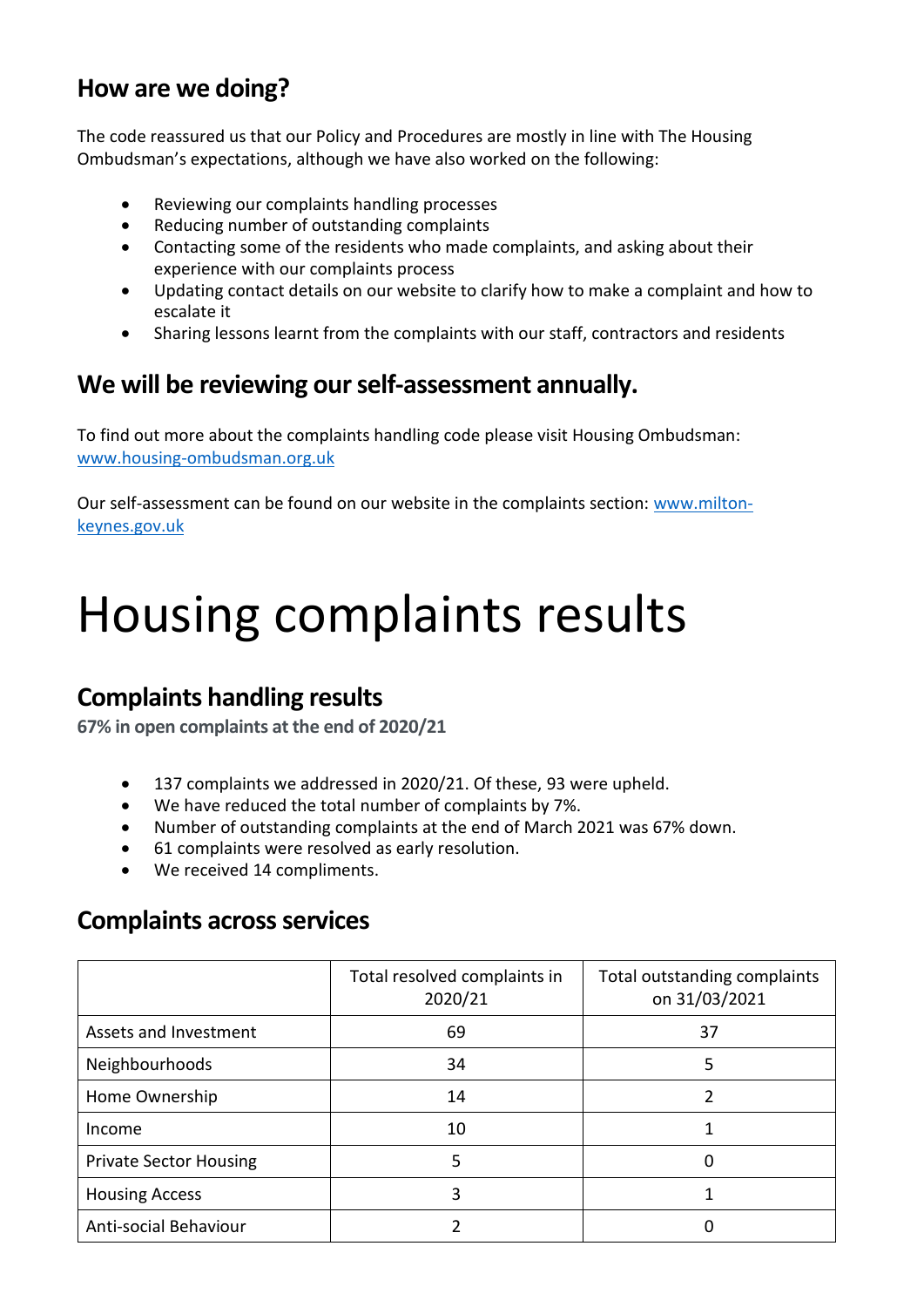### **How are we doing?**

The code reassured us that our Policy and Procedures are mostly in line with The Housing Ombudsman's expectations, although we have also worked on the following:

- Reviewing our complaints handling processes
- Reducing number of outstanding complaints
- Contacting some of the residents who made complaints, and asking about their experience with our complaints process
- Updating contact details on our website to clarify how to make a complaint and how to escalate it
- Sharing lessons learnt from the complaints with our staff, contractors and residents

### **We will be reviewing our self-assessment annually.**

To find out more about the complaints handling code please visit Housing Ombudsman: [www.housing-ombudsman.org.uk](http://www.housing-ombudsman.org.uk/)

Our self-assessment can be found on our website in the complaints section: [www.milton](http://www.milton-keynes.gov.uk/)[keynes.gov.uk](http://www.milton-keynes.gov.uk/)

## Housing complaints results

### **Complaints handling results**

**67% in open complaints at the end of 2020/21**

- 137 complaints we addressed in 2020/21. Of these, 93 were upheld.
- We have reduced the total number of complaints by 7%.
- Number of outstanding complaints at the end of March 2021 was 67% down.
- 61 complaints were resolved as early resolution.
- We received 14 compliments.

### **Complaints across services**

|                               | Total outstanding complaints<br>Total resolved complaints in<br>2020/21<br>on 31/03/2021 |    |  |
|-------------------------------|------------------------------------------------------------------------------------------|----|--|
| Assets and Investment         | 69                                                                                       | 37 |  |
| Neighbourhoods                | 34                                                                                       | 5  |  |
| Home Ownership                | 14                                                                                       |    |  |
| Income                        | 10                                                                                       |    |  |
| <b>Private Sector Housing</b> | 5                                                                                        |    |  |
| <b>Housing Access</b>         |                                                                                          |    |  |
| Anti-social Behaviour         |                                                                                          |    |  |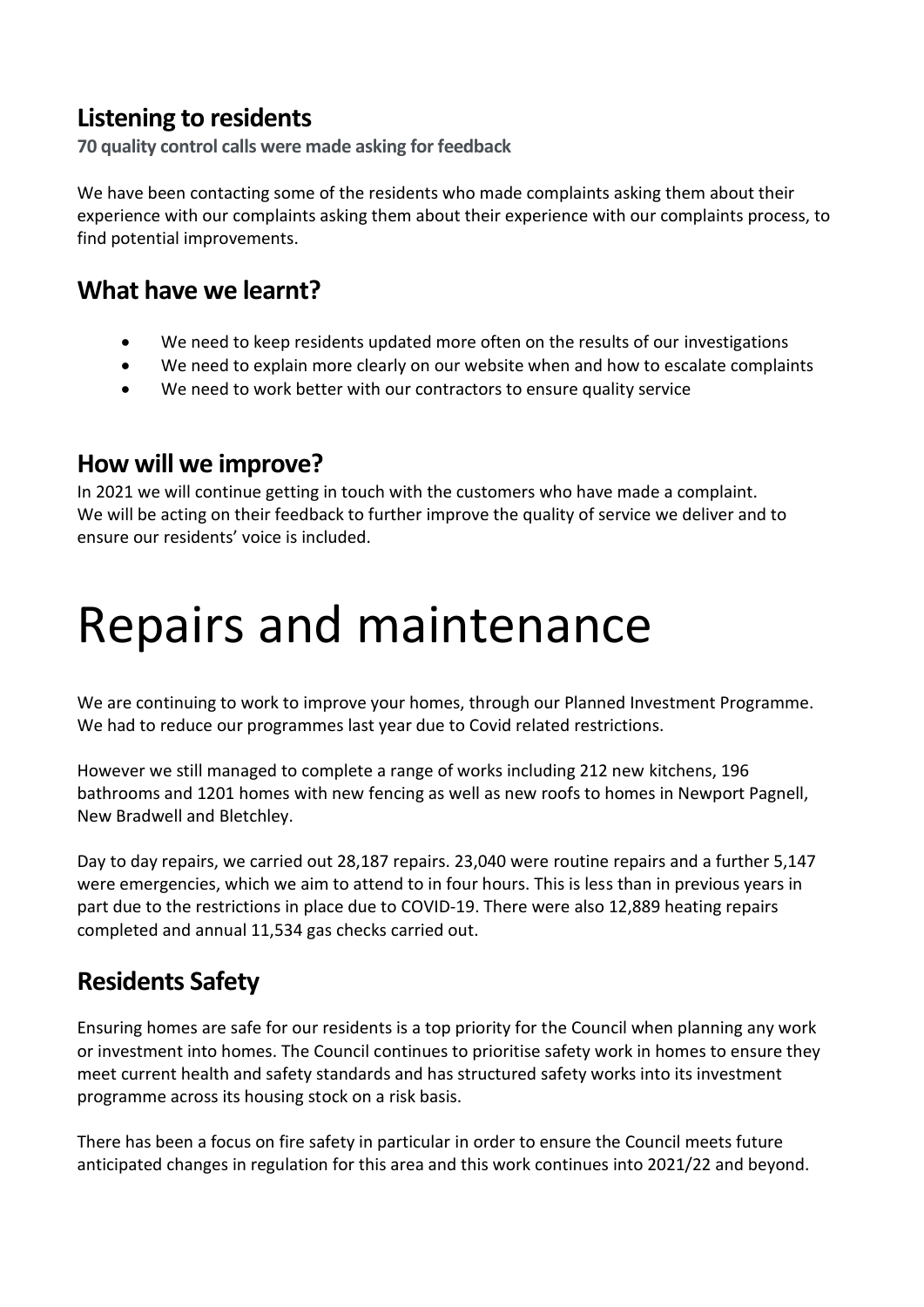### **Listening to residents**

**70 quality control calls were made asking for feedback**

We have been contacting some of the residents who made complaints asking them about their experience with our complaints asking them about their experience with our complaints process, to find potential improvements.

#### **What have we learnt?**

- We need to keep residents updated more often on the results of our investigations
- We need to explain more clearly on our website when and how to escalate complaints
- We need to work better with our contractors to ensure quality service

#### **How will we improve?**

In 2021 we will continue getting in touch with the customers who have made a complaint. We will be acting on their feedback to further improve the quality of service we deliver and to ensure our residents' voice is included.

## Repairs and maintenance

We are continuing to work to improve your homes, through our Planned Investment Programme. We had to reduce our programmes last year due to Covid related restrictions.

However we still managed to complete a range of works including 212 new kitchens, 196 bathrooms and 1201 homes with new fencing as well as new roofs to homes in Newport Pagnell, New Bradwell and Bletchley.

Day to day repairs, we carried out 28,187 repairs. 23,040 were routine repairs and a further 5,147 were emergencies, which we aim to attend to in four hours. This is less than in previous years in part due to the restrictions in place due to COVID-19. There were also 12,889 heating repairs completed and annual 11,534 gas checks carried out.

## **Residents Safety**

Ensuring homes are safe for our residents is a top priority for the Council when planning any work or investment into homes. The Council continues to prioritise safety work in homes to ensure they meet current health and safety standards and has structured safety works into its investment programme across its housing stock on a risk basis.

There has been a focus on fire safety in particular in order to ensure the Council meets future anticipated changes in regulation for this area and this work continues into 2021/22 and beyond.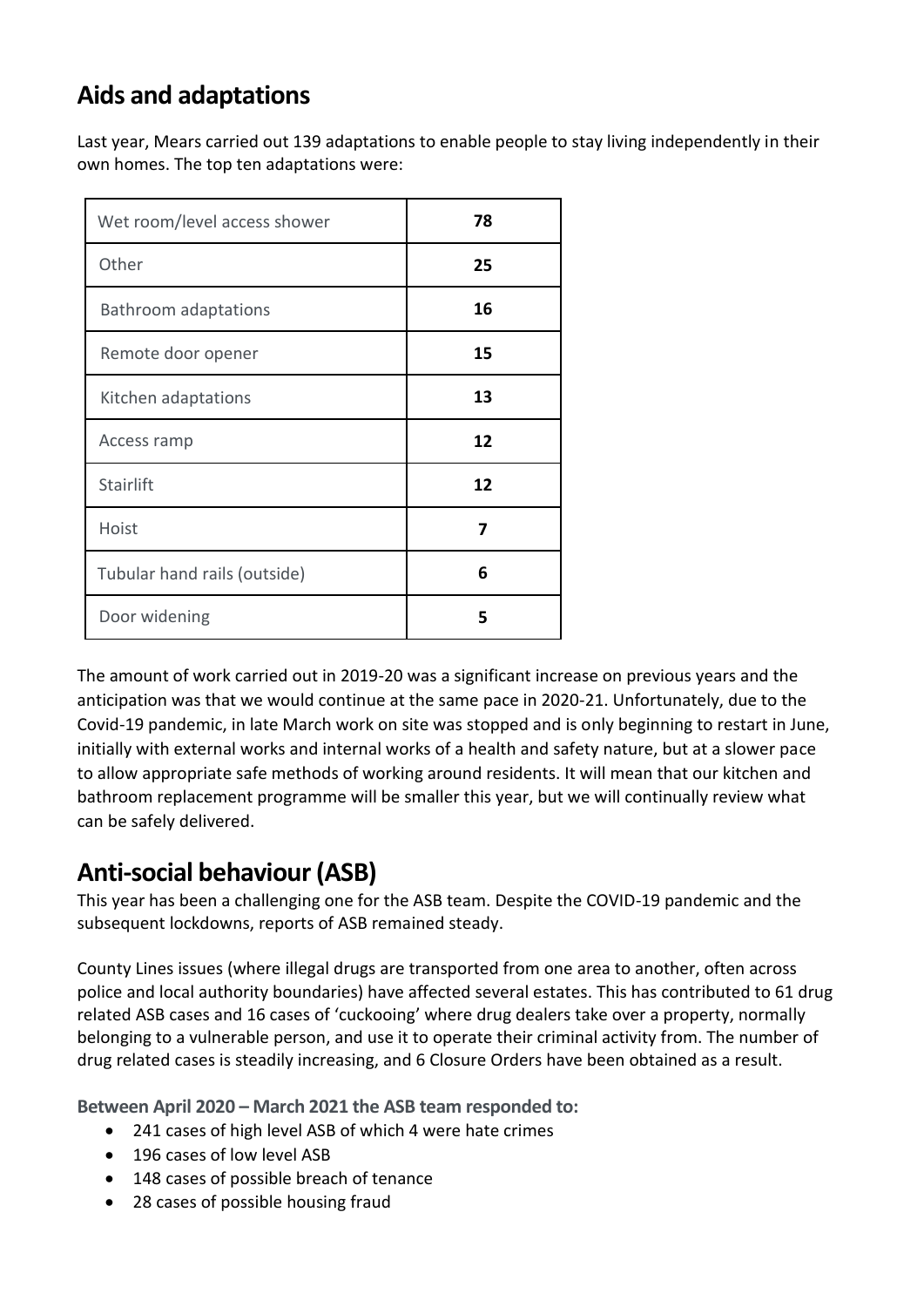## **Aids and adaptations**

Last year, Mears carried out 139 adaptations to enable people to stay living independently in their own homes. The top ten adaptations were:

| Wet room/level access shower | 78 |
|------------------------------|----|
| Other                        | 25 |
| <b>Bathroom adaptations</b>  | 16 |
| Remote door opener           | 15 |
| Kitchen adaptations          | 13 |
| Access ramp                  | 12 |
| Stairlift                    | 12 |
| Hoist                        | 7  |
| Tubular hand rails (outside) | 6  |
| Door widening                | 5  |

The amount of work carried out in 2019-20 was a significant increase on previous years and the anticipation was that we would continue at the same pace in 2020-21. Unfortunately, due to the Covid-19 pandemic, in late March work on site was stopped and is only beginning to restart in June, initially with external works and internal works of a health and safety nature, but at a slower pace to allow appropriate safe methods of working around residents. It will mean that our kitchen and bathroom replacement programme will be smaller this year, but we will continually review what can be safely delivered.

### **Anti-social behaviour (ASB)**

This year has been a challenging one for the ASB team. Despite the COVID-19 pandemic and the subsequent lockdowns, reports of ASB remained steady.

County Lines issues (where illegal drugs are transported from one area to another, often across police and local authority boundaries) have affected several estates. This has contributed to 61 drug related ASB cases and 16 cases of 'cuckooing' where drug dealers take over a property, normally belonging to a vulnerable person, and use it to operate their criminal activity from. The number of drug related cases is steadily increasing, and 6 Closure Orders have been obtained as a result.

**Between April 2020 – March 2021 the ASB team responded to:**

- 241 cases of high level ASB of which 4 were hate crimes
- 196 cases of low level ASB
- 148 cases of possible breach of tenance
- 28 cases of possible housing fraud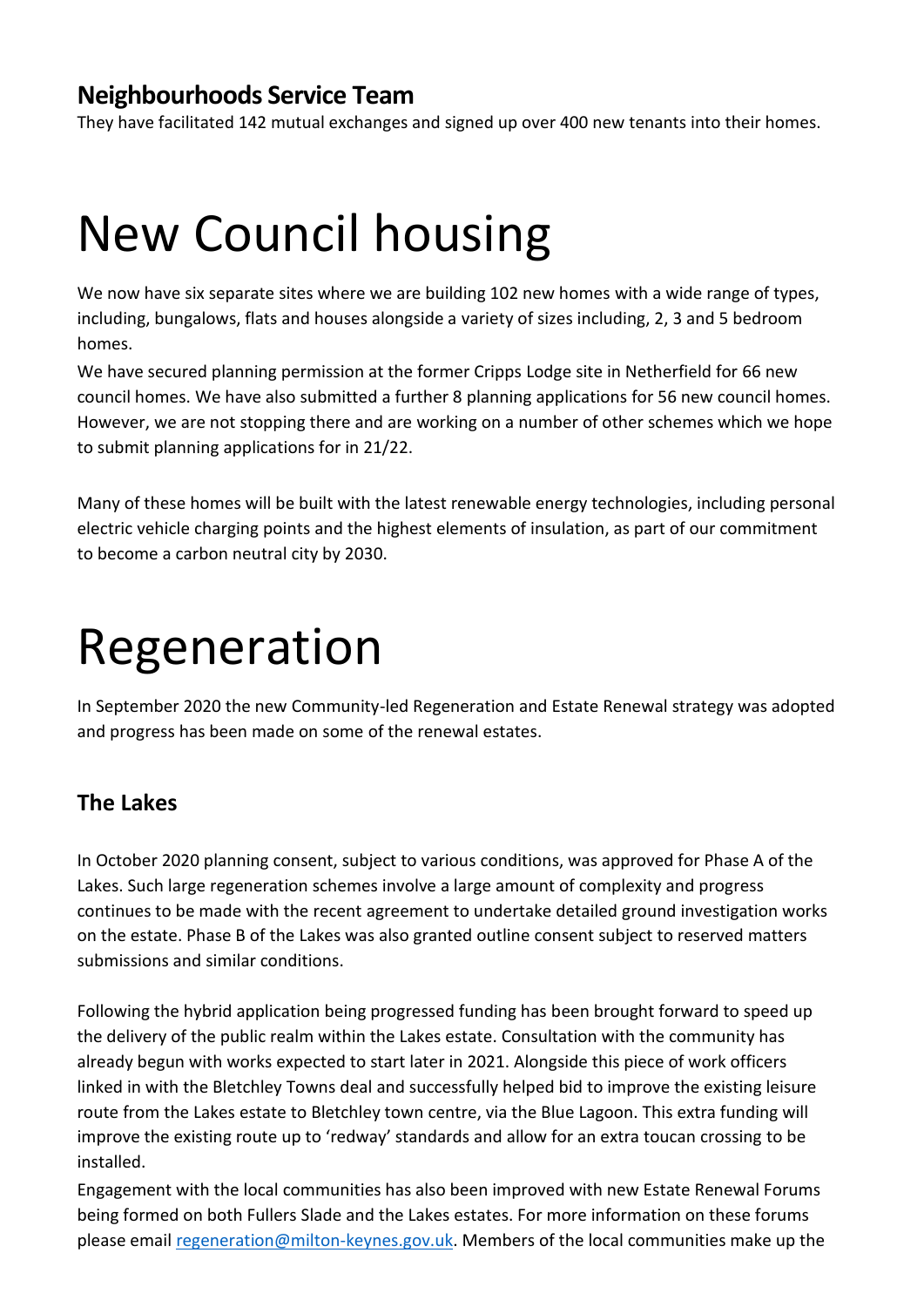#### **Neighbourhoods Service Team**

They have facilitated 142 mutual exchanges and signed up over 400 new tenants into their homes.

## New Council housing

We now have six separate sites where we are building 102 new homes with a wide range of types, including, bungalows, flats and houses alongside a variety of sizes including, 2, 3 and 5 bedroom homes.

We have secured planning permission at the former Cripps Lodge site in Netherfield for 66 new council homes. We have also submitted a further 8 planning applications for 56 new council homes. However, we are not stopping there and are working on a number of other schemes which we hope to submit planning applications for in 21/22.

Many of these homes will be built with the latest renewable energy technologies, including personal electric vehicle charging points and the highest elements of insulation, as part of our commitment to become a carbon neutral city by 2030.

## Regeneration

In September 2020 the new Community-led Regeneration and Estate Renewal strategy was adopted and progress has been made on some of the renewal estates.

#### **The Lakes**

In October 2020 planning consent, subject to various conditions, was approved for Phase A of the Lakes. Such large regeneration schemes involve a large amount of complexity and progress continues to be made with the recent agreement to undertake detailed ground investigation works on the estate. Phase B of the Lakes was also granted outline consent subject to reserved matters submissions and similar conditions.

Following the hybrid application being progressed funding has been brought forward to speed up the delivery of the public realm within the Lakes estate. Consultation with the community has already begun with works expected to start later in 2021. Alongside this piece of work officers linked in with the Bletchley Towns deal and successfully helped bid to improve the existing leisure route from the Lakes estate to Bletchley town centre, via the Blue Lagoon. This extra funding will improve the existing route up to 'redway' standards and allow for an extra toucan crossing to be installed.

Engagement with the local communities has also been improved with new Estate Renewal Forums being formed on both Fullers Slade and the Lakes estates. For more information on these forums please email [regeneration@milton-keynes.gov.uk.](mailto:regeneration@milton-keynes.gov.uk) Members of the local communities make up the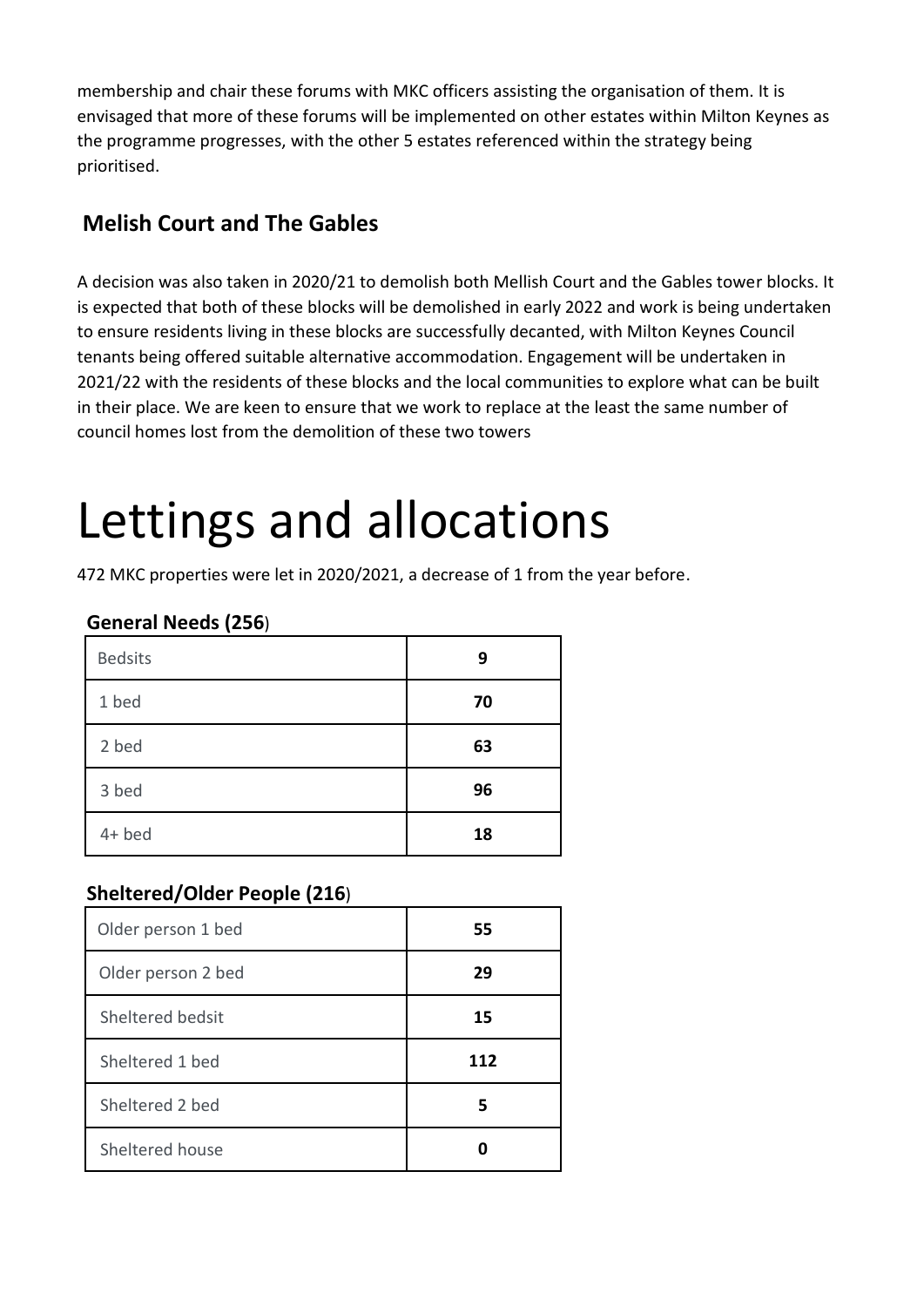membership and chair these forums with MKC officers assisting the organisation of them. It is envisaged that more of these forums will be implemented on other estates within Milton Keynes as the programme progresses, with the other 5 estates referenced within the strategy being prioritised.

#### **Melish Court and The Gables**

A decision was also taken in 2020/21 to demolish both Mellish Court and the Gables tower blocks. It is expected that both of these blocks will be demolished in early 2022 and work is being undertaken to ensure residents living in these blocks are successfully decanted, with Milton Keynes Council tenants being offered suitable alternative accommodation. Engagement will be undertaken in 2021/22 with the residents of these blocks and the local communities to explore what can be built in their place. We are keen to ensure that we work to replace at the least the same number of council homes lost from the demolition of these two towers

## Lettings and allocations

472 MKC properties were let in 2020/2021, a decrease of 1 from the year before.

#### **General Needs (256**)

| <b>Bedsits</b> | 9  |
|----------------|----|
| 1 bed          | 70 |
| 2 bed          | 63 |
| 3 bed          | 96 |
| $4+$ bed       | 18 |

#### **Sheltered/Older People (216**)

| Older person 1 bed | 55  |  |
|--------------------|-----|--|
| Older person 2 bed | 29  |  |
| Sheltered bedsit   | 15  |  |
| Sheltered 1 bed    | 112 |  |
| Sheltered 2 bed    | 5   |  |
| Sheltered house    |     |  |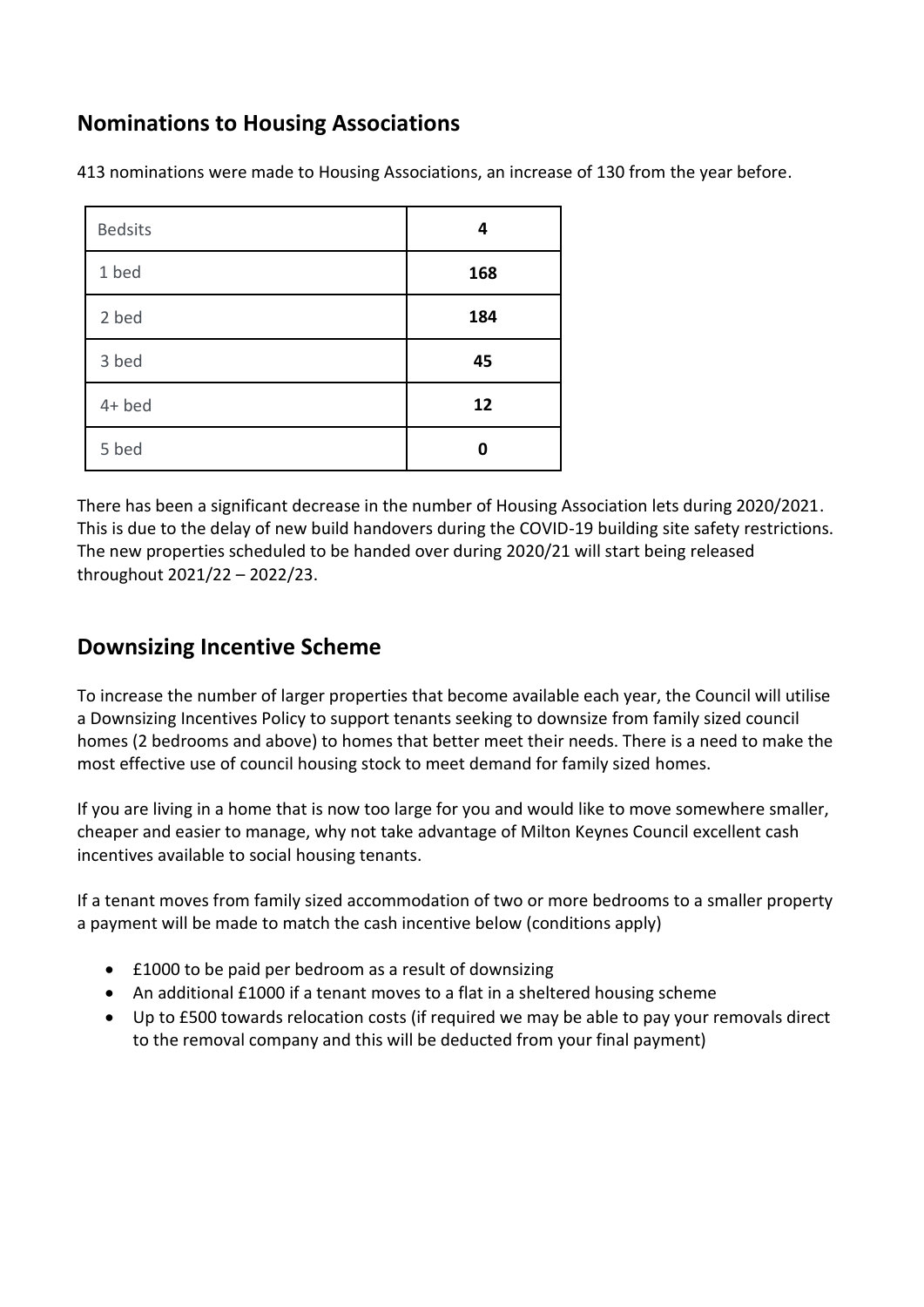#### **Nominations to Housing Associations**

413 nominations were made to Housing Associations, an increase of 130 from the year before.

| <b>Bedsits</b> | 4   |
|----------------|-----|
| 1 bed          | 168 |
| 2 bed          | 184 |
| 3 bed          | 45  |
| $4+$ bed       | 12  |
| 5 bed          | ŋ   |

There has been a significant decrease in the number of Housing Association lets during 2020/2021. This is due to the delay of new build handovers during the COVID-19 building site safety restrictions. The new properties scheduled to be handed over during 2020/21 will start being released throughout 2021/22 – 2022/23.

#### **Downsizing Incentive Scheme**

To increase the number of larger properties that become available each year, the Council will utilise a Downsizing Incentives Policy to support tenants seeking to downsize from family sized council homes (2 bedrooms and above) to homes that better meet their needs. There is a need to make the most effective use of council housing stock to meet demand for family sized homes.

If you are living in a home that is now too large for you and would like to move somewhere smaller, cheaper and easier to manage, why not take advantage of Milton Keynes Council excellent cash incentives available to social housing tenants.

If a tenant moves from family sized accommodation of two or more bedrooms to a smaller property a payment will be made to match the cash incentive below (conditions apply)

- £1000 to be paid per bedroom as a result of downsizing
- An additional £1000 if a tenant moves to a flat in a sheltered housing scheme
- Up to £500 towards relocation costs (if required we may be able to pay your removals direct to the removal company and this will be deducted from your final payment)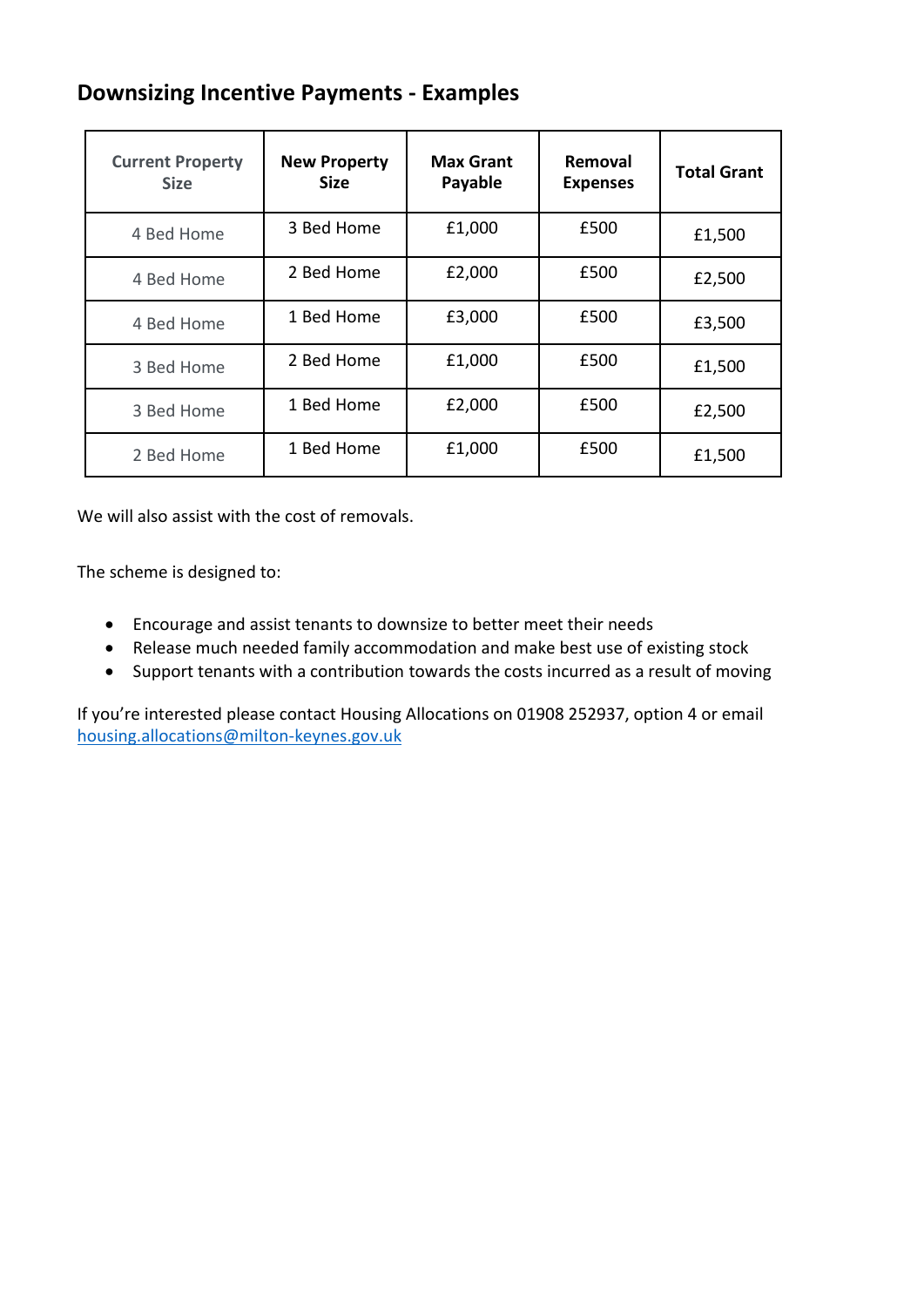#### **Downsizing Incentive Payments - Examples**

| <b>Current Property</b><br><b>Size</b> | <b>New Property</b><br><b>Size</b> | <b>Max Grant</b><br>Payable | Removal<br><b>Expenses</b> | <b>Total Grant</b> |
|----------------------------------------|------------------------------------|-----------------------------|----------------------------|--------------------|
| 4 Bed Home                             | 3 Bed Home                         | £1,000                      | £500                       | £1,500             |
| 4 Bed Home                             | 2 Bed Home                         | £2,000                      | £500                       | £2,500             |
| 4 Bed Home                             | 1 Bed Home                         | £3,000                      | £500                       | £3,500             |
| 3 Bed Home                             | 2 Bed Home                         | £1,000                      | £500                       | £1,500             |
| 3 Bed Home                             | 1 Bed Home                         | £2,000                      | £500                       | £2,500             |
| 2 Bed Home                             | 1 Bed Home                         | £1,000                      | £500                       | £1,500             |

We will also assist with the cost of removals.

The scheme is designed to:

- Encourage and assist tenants to downsize to better meet their needs
- Release much needed family accommodation and make best use of existing stock
- Support tenants with a contribution towards the costs incurred as a result of moving

If you're interested please contact Housing Allocations on 01908 252937, option 4 or email [housing.allocations@milton-keynes.gov.uk](mailto:housing.allocations@milton-keynes.gov.uk)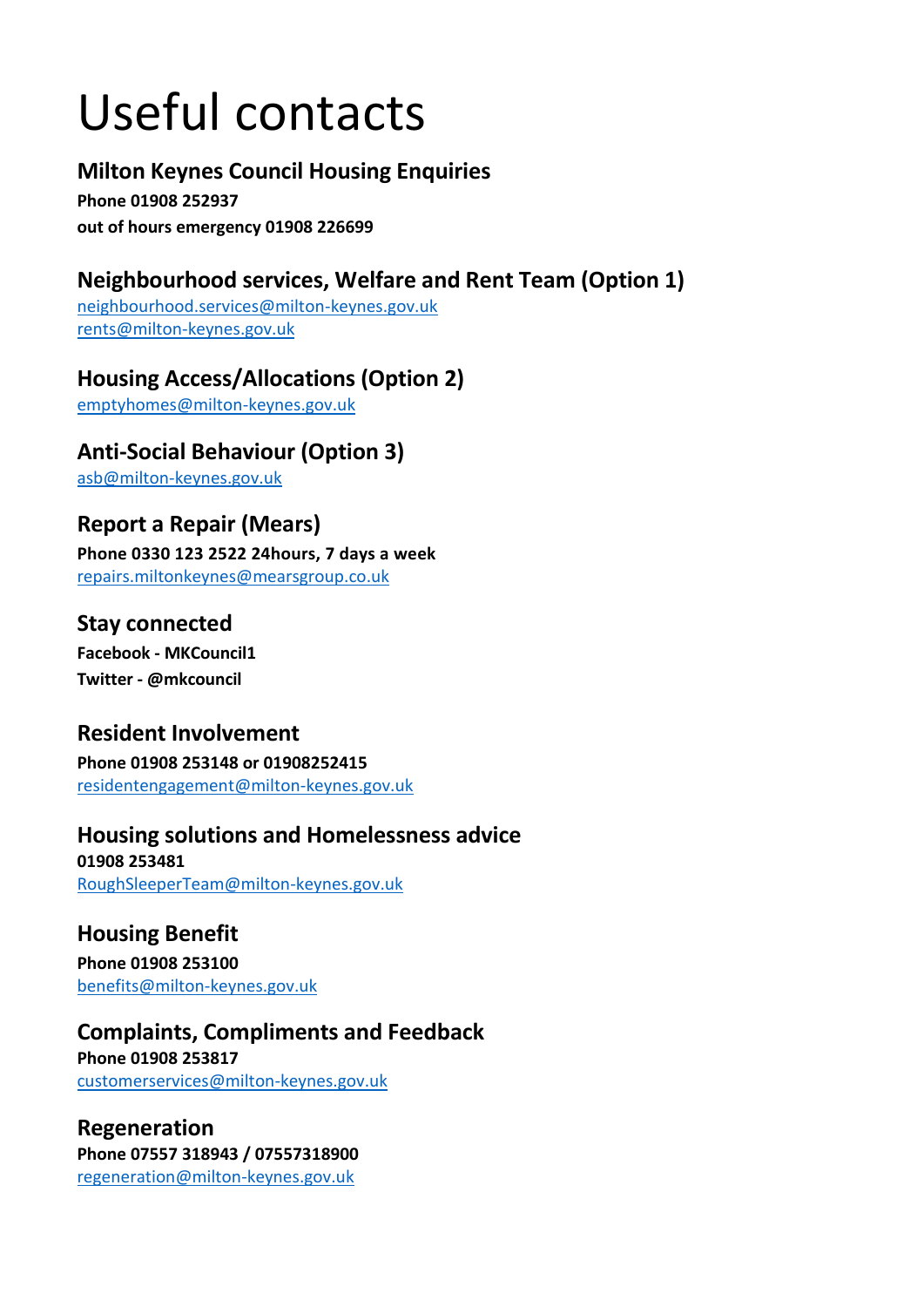# Useful contacts

## **Milton Keynes Council Housing Enquiries**

**Phone 01908 252937 out of hours emergency 01908 226699**

## **Neighbourhood services, Welfare and Rent Team (Option 1)**

[neighbourhood.services@milton-keynes.gov.uk](mailto:neighbourhood.services@milton-keynes.gov.uk) [rents@milton-keynes.gov.uk](mailto:rents@milton-keynes.gov.uk)

## **Housing Access/Allocations (Option 2)**

[emptyhomes@milton-keynes.gov.uk](mailto:emptyhomes@milton-keynes.gov.uk)

## **Anti-Social Behaviour (Option 3)**

[asb@milton-keynes.gov.uk](mailto:asb@milton-keynes.gov.uk)

## **Report a Repair (Mears)**

**Phone 0330 123 2522 24hours, 7 days a week** [repairs.miltonkeynes@mearsgroup.co.uk](mailto:repairs.miltonkeynes@mearsgroup.co.uk)

### **Stay connected**

**Facebook - MKCouncil1 Twitter - @mkcouncil**

## **Resident Involvement**

**Phone 01908 253148 or 01908252415** [residentengagement@milton-keynes.gov.uk](mailto:residentengagement@milton-keynes.gov.uk)

### **Housing solutions and Homelessness advice**

**01908 253481** [RoughSleeperTeam@milton-keynes.gov.uk](mailto:RoughSleeperTeam@milton-keynes.gov.uk)

## **Housing Benefit**

**Phone 01908 253100** [benefits@milton-keynes.gov.uk](mailto:benefits@milton-keynes.gov.uk)

## **Complaints, Compliments and Feedback**

**Phone 01908 253817** [customerservices@milton-keynes.gov.uk](mailto:customerservices@milton-keynes.gov.uk)

#### **Regeneration Phone 07557 318943 / 07557318900** [regeneration@milton-keynes.gov.uk](mailto:regeneration@milton-keynes.gov.uk)